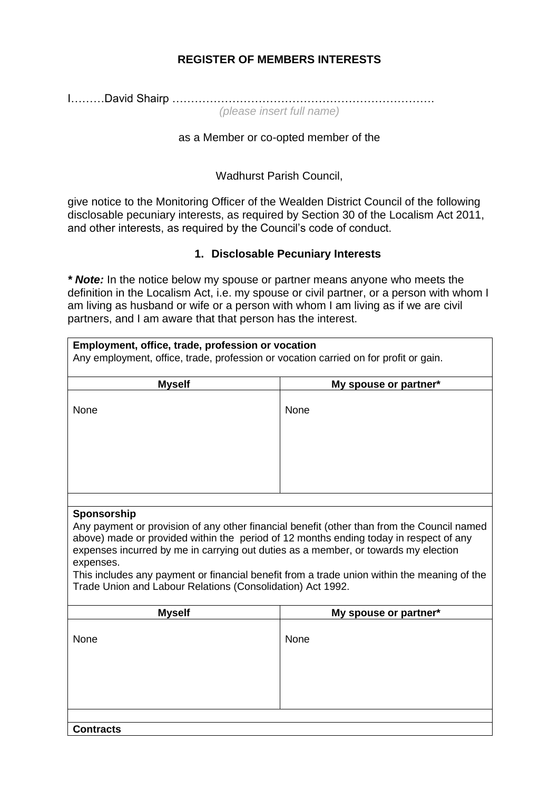## **REGISTER OF MEMBERS INTERESTS**

I………David Shairp ……………………………………………………………. *(please insert full name)*

#### as a Member or co-opted member of the

Wadhurst Parish Council,

give notice to the Monitoring Officer of the Wealden District Council of the following disclosable pecuniary interests, as required by Section 30 of the Localism Act 2011, and other interests, as required by the Council's code of conduct.

### **1. Disclosable Pecuniary Interests**

*\* Note:* In the notice below my spouse or partner means anyone who meets the definition in the Localism Act, i.e. my spouse or civil partner, or a person with whom I am living as husband or wife or a person with whom I am living as if we are civil partners, and I am aware that that person has the interest.

| <b>Myself</b>                                                           | My spouse or partner*                                                                                                                                                                                                                                                                                                                                                    |
|-------------------------------------------------------------------------|--------------------------------------------------------------------------------------------------------------------------------------------------------------------------------------------------------------------------------------------------------------------------------------------------------------------------------------------------------------------------|
| None                                                                    | None                                                                                                                                                                                                                                                                                                                                                                     |
|                                                                         |                                                                                                                                                                                                                                                                                                                                                                          |
|                                                                         |                                                                                                                                                                                                                                                                                                                                                                          |
|                                                                         |                                                                                                                                                                                                                                                                                                                                                                          |
| Sponsorship                                                             |                                                                                                                                                                                                                                                                                                                                                                          |
| expenses.<br>Trade Union and Labour Relations (Consolidation) Act 1992. | Any payment or provision of any other financial benefit (other than from the Council named<br>above) made or provided within the period of 12 months ending today in respect of any<br>expenses incurred by me in carrying out duties as a member, or towards my election<br>This includes any payment or financial benefit from a trade union within the meaning of the |
| <b>Myself</b>                                                           | My spouse or partner*                                                                                                                                                                                                                                                                                                                                                    |
| None                                                                    | None                                                                                                                                                                                                                                                                                                                                                                     |
|                                                                         |                                                                                                                                                                                                                                                                                                                                                                          |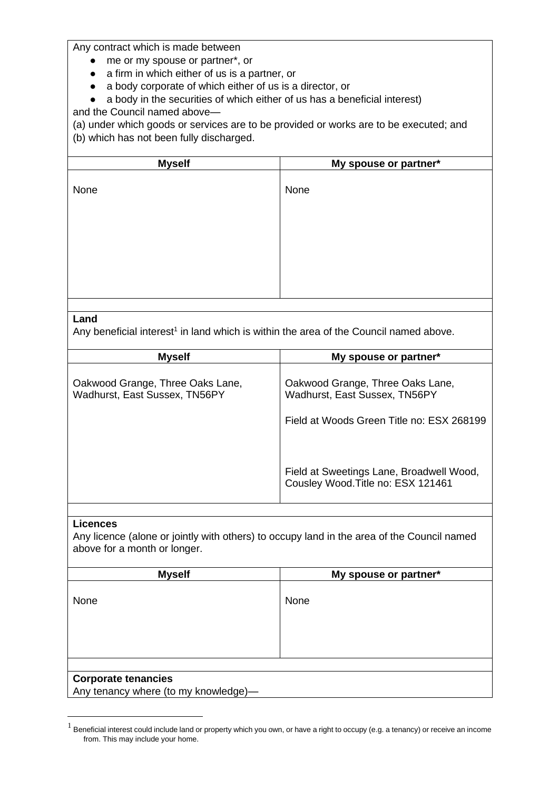Any contract which is made between

- me or my spouse or partner\*, or
- a firm in which either of us is a partner, or
- a body corporate of which either of us is a director, or
- a body in the securities of which either of us has a beneficial interest)

and the Council named above—

(a) under which goods or services are to be provided or works are to be executed; and (b) which has not been fully discharged.

| <b>Myself</b> | My spouse or partner* |
|---------------|-----------------------|
| None          | None                  |
|               |                       |
|               |                       |
|               |                       |

#### **Land**

Any beneficial interest<sup>1</sup> in land which is within the area of the Council named above.

| <b>Myself</b>                                                     | My spouse or partner*                                                                                          |
|-------------------------------------------------------------------|----------------------------------------------------------------------------------------------------------------|
| Oakwood Grange, Three Oaks Lane,<br>Wadhurst, East Sussex, TN56PY | Oakwood Grange, Three Oaks Lane,<br>Wadhurst, East Sussex, TN56PY<br>Field at Woods Green Title no: ESX 268199 |
|                                                                   | Field at Sweetings Lane, Broadwell Wood,<br>Cousley Wood. Title no: ESX 121461                                 |

#### **Licences**

Any licence (alone or jointly with others) to occupy land in the area of the Council named above for a month or longer.

| <b>Myself</b>                        | My spouse or partner* |
|--------------------------------------|-----------------------|
| None                                 | None                  |
|                                      |                       |
| <b>Corporate tenancies</b>           |                       |
| Any tenancy where (to my knowledge)- |                       |

 $<sup>1</sup>$  Beneficial interest could include land or property which you own, or have a right to occupy (e.g. a tenancy) or receive an income</sup> from. This may include your home.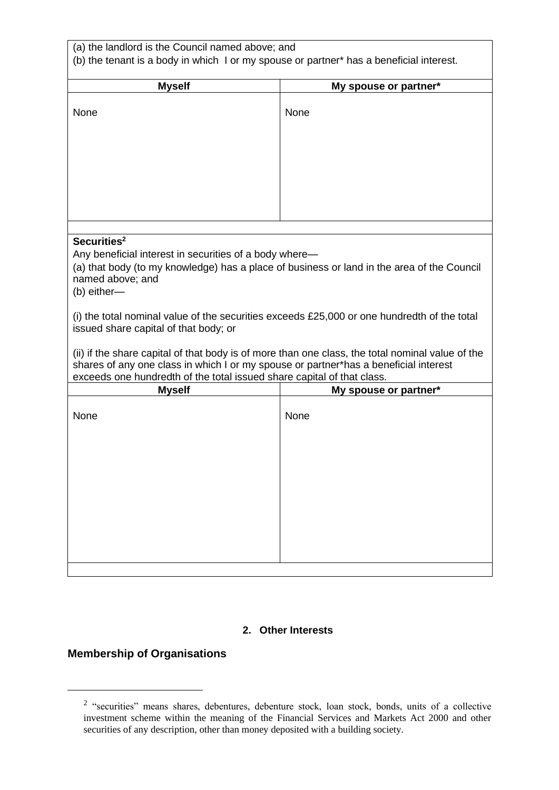| (a) the landlord is the Council named above; and<br>(b) the tenant is a body in which I or my spouse or partner* has a beneficial interest.                                                                                                                                                                                                                                                                                                                      |                       |  |
|------------------------------------------------------------------------------------------------------------------------------------------------------------------------------------------------------------------------------------------------------------------------------------------------------------------------------------------------------------------------------------------------------------------------------------------------------------------|-----------------------|--|
| <b>Myself</b>                                                                                                                                                                                                                                                                                                                                                                                                                                                    | My spouse or partner* |  |
| None                                                                                                                                                                                                                                                                                                                                                                                                                                                             | None                  |  |
|                                                                                                                                                                                                                                                                                                                                                                                                                                                                  |                       |  |
| Securities <sup>2</sup><br>Any beneficial interest in securities of a body where-<br>(a) that body (to my knowledge) has a place of business or land in the area of the Council<br>named above; and<br>(b) either-<br>(i) the total nominal value of the securities exceeds $£25,000$ or one hundredth of the total<br>issued share capital of that body; or<br>(ii) if the share capital of that body is of more than one class, the total nominal value of the |                       |  |
| shares of any one class in which I or my spouse or partner*has a beneficial interest<br>exceeds one hundredth of the total issued share capital of that class.                                                                                                                                                                                                                                                                                                   |                       |  |
| <b>Myself</b>                                                                                                                                                                                                                                                                                                                                                                                                                                                    | My spouse or partner* |  |
| None                                                                                                                                                                                                                                                                                                                                                                                                                                                             | None                  |  |

#### **2. Other Interests**

# **Membership of Organisations**

<sup>&</sup>lt;sup>2</sup> "securities" means shares, debentures, debenture stock, loan stock, bonds, units of a collective investment scheme within the meaning of the Financial Services and Markets Act 2000 and other securities of any description, other than money deposited with a building society.